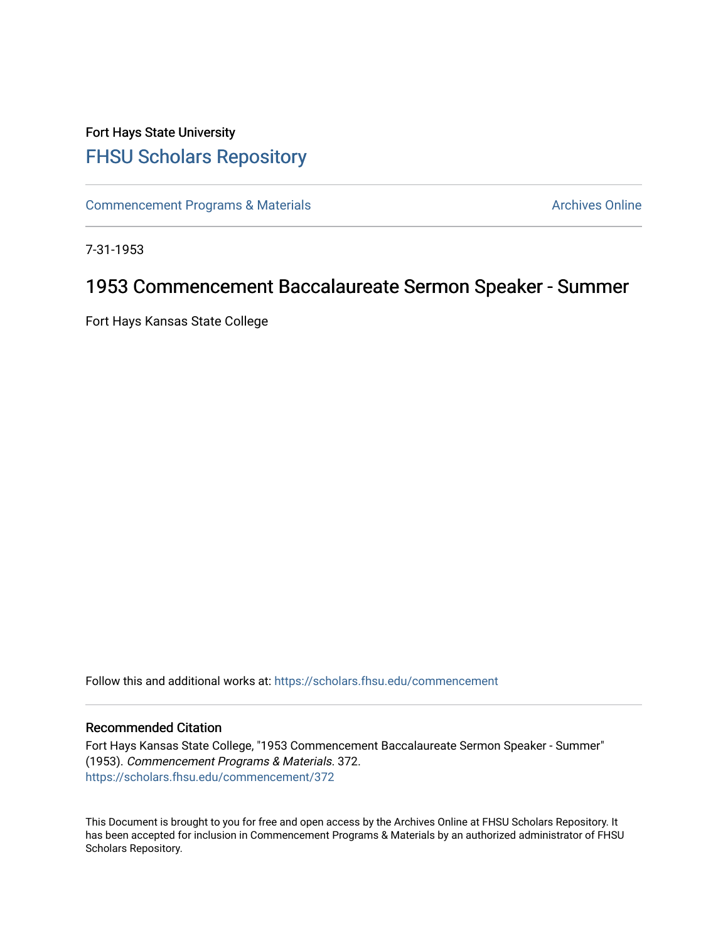## Fort Hays State University [FHSU Scholars Repository](https://scholars.fhsu.edu/)

[Commencement Programs & Materials](https://scholars.fhsu.edu/commencement) **Archives Online** Archives Online

7-31-1953

## 1953 Commencement Baccalaureate Sermon Speaker - Summer

Fort Hays Kansas State College

Follow this and additional works at: [https://scholars.fhsu.edu/commencement](https://scholars.fhsu.edu/commencement?utm_source=scholars.fhsu.edu%2Fcommencement%2F372&utm_medium=PDF&utm_campaign=PDFCoverPages)

## Recommended Citation

Fort Hays Kansas State College, "1953 Commencement Baccalaureate Sermon Speaker - Summer" (1953). Commencement Programs & Materials. 372. [https://scholars.fhsu.edu/commencement/372](https://scholars.fhsu.edu/commencement/372?utm_source=scholars.fhsu.edu%2Fcommencement%2F372&utm_medium=PDF&utm_campaign=PDFCoverPages)

This Document is brought to you for free and open access by the Archives Online at FHSU Scholars Repository. It has been accepted for inclusion in Commencement Programs & Materials by an authorized administrator of FHSU Scholars Repository.